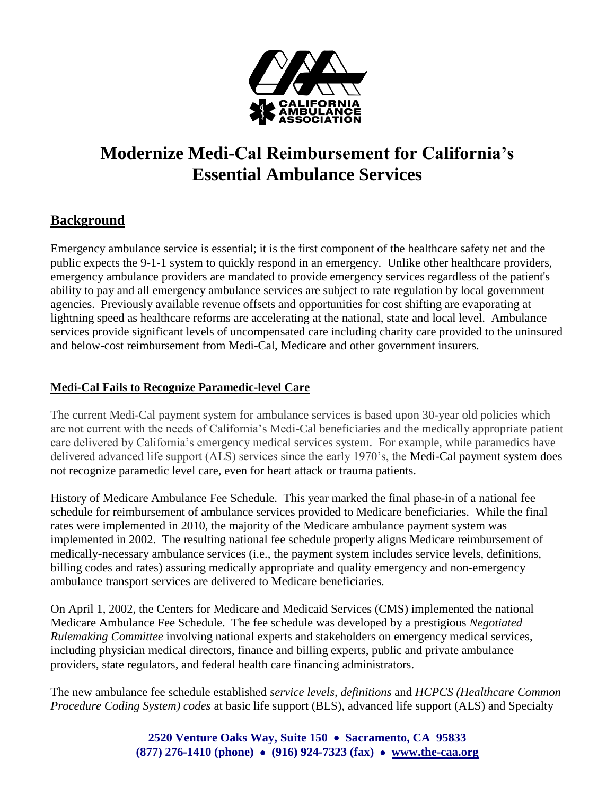

# **Modernize Medi-Cal Reimbursement for California's Essential Ambulance Services**

### **Background**

Emergency ambulance service is essential; it is the first component of the healthcare safety net and the public expects the 9-1-1 system to quickly respond in an emergency. Unlike other healthcare providers, emergency ambulance providers are mandated to provide emergency services regardless of the patient's ability to pay and all emergency ambulance services are subject to rate regulation by local government agencies. Previously available revenue offsets and opportunities for cost shifting are evaporating at lightning speed as healthcare reforms are accelerating at the national, state and local level. Ambulance services provide significant levels of uncompensated care including charity care provided to the uninsured and below-cost reimbursement from Medi-Cal, Medicare and other government insurers.

### **Medi-Cal Fails to Recognize Paramedic-level Care**

The current Medi-Cal payment system for ambulance services is based upon 30-year old policies which are not current with the needs of California's Medi-Cal beneficiaries and the medically appropriate patient care delivered by California's emergency medical services system. For example, while paramedics have delivered advanced life support (ALS) services since the early 1970's, the Medi-Cal payment system does not recognize paramedic level care, even for heart attack or trauma patients.

History of Medicare Ambulance Fee Schedule. This year marked the final phase-in of a national fee schedule for reimbursement of ambulance services provided to Medicare beneficiaries. While the final rates were implemented in 2010, the majority of the Medicare ambulance payment system was implemented in 2002. The resulting national fee schedule properly aligns Medicare reimbursement of medically-necessary ambulance services (i.e., the payment system includes service levels, definitions, billing codes and rates) assuring medically appropriate and quality emergency and non-emergency ambulance transport services are delivered to Medicare beneficiaries.

On April 1, 2002, the Centers for Medicare and Medicaid Services (CMS) implemented the national Medicare Ambulance Fee Schedule. The fee schedule was developed by a prestigious *Negotiated Rulemaking Committee* involving national experts and stakeholders on emergency medical services, including physician medical directors, finance and billing experts, public and private ambulance providers, state regulators, and federal health care financing administrators.

The new ambulance fee schedule established *service levels, definitions* and *HCPCS (Healthcare Common Procedure Coding System) codes* at basic life support (BLS), advanced life support (ALS) and Specialty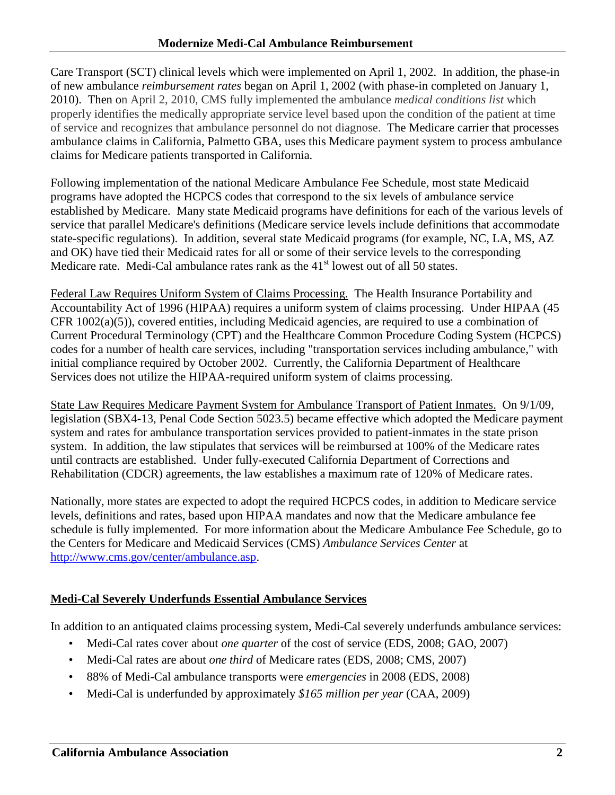Care Transport (SCT) clinical levels which were implemented on April 1, 2002. In addition, the phase-in of new ambulance *reimbursement rates* began on April 1, 2002 (with phase-in completed on January 1, 2010). Then on April 2, 2010, CMS fully implemented the ambulance *medical conditions list* which properly identifies the medically appropriate service level based upon the condition of the patient at time of service and recognizes that ambulance personnel do not diagnose. The Medicare carrier that processes ambulance claims in California, Palmetto GBA, uses this Medicare payment system to process ambulance claims for Medicare patients transported in California.

Following implementation of the national Medicare Ambulance Fee Schedule, most state Medicaid programs have adopted the HCPCS codes that correspond to the six levels of ambulance service established by Medicare. Many state Medicaid programs have definitions for each of the various levels of service that parallel Medicare's definitions (Medicare service levels include definitions that accommodate state-specific regulations). In addition, several state Medicaid programs (for example, NC, LA, MS, AZ and OK) have tied their Medicaid rates for all or some of their service levels to the corresponding Medicare rate. Medi-Cal ambulance rates rank as the  $41<sup>st</sup>$  lowest out of all 50 states.

Federal Law Requires Uniform System of Claims Processing. The Health Insurance Portability and Accountability Act of 1996 (HIPAA) requires a uniform system of claims processing. Under HIPAA (45 CFR 1002(a)(5)), covered entities, including Medicaid agencies, are required to use a combination of Current Procedural Terminology (CPT) and the Healthcare Common Procedure Coding System (HCPCS) codes for a number of health care services, including "transportation services including ambulance," with initial compliance required by October 2002. Currently, the California Department of Healthcare Services does not utilize the HIPAA-required uniform system of claims processing.

State Law Requires Medicare Payment System for Ambulance Transport of Patient Inmates. On 9/1/09, legislation (SBX4-13, Penal Code Section 5023.5) became effective which adopted the Medicare payment system and rates for ambulance transportation services provided to patient-inmates in the state prison system. In addition, the law stipulates that services will be reimbursed at 100% of the Medicare rates until contracts are established. Under fully-executed California Department of Corrections and Rehabilitation (CDCR) agreements, the law establishes a maximum rate of 120% of Medicare rates.

Nationally, more states are expected to adopt the required HCPCS codes, in addition to Medicare service levels, definitions and rates, based upon HIPAA mandates and now that the Medicare ambulance fee schedule is fully implemented. For more information about the Medicare Ambulance Fee Schedule, go to the Centers for Medicare and Medicaid Services (CMS) *Ambulance Services Center* at [http://www.cms.gov/center/ambulance.asp.](http://www.cms.gov/center/ambulance.asp)

### **Medi-Cal Severely Underfunds Essential Ambulance Services**

In addition to an antiquated claims processing system, Medi-Cal severely underfunds ambulance services:

- Medi-Cal rates cover about *one quarter* of the cost of service (EDS, 2008; GAO, 2007)
- Medi-Cal rates are about *one third* of Medicare rates (EDS, 2008; CMS, 2007)
- 88% of Medi-Cal ambulance transports were *emergencies* in 2008 (EDS, 2008)
- Medi-Cal is underfunded by approximately *\$165 million per year* (CAA, 2009)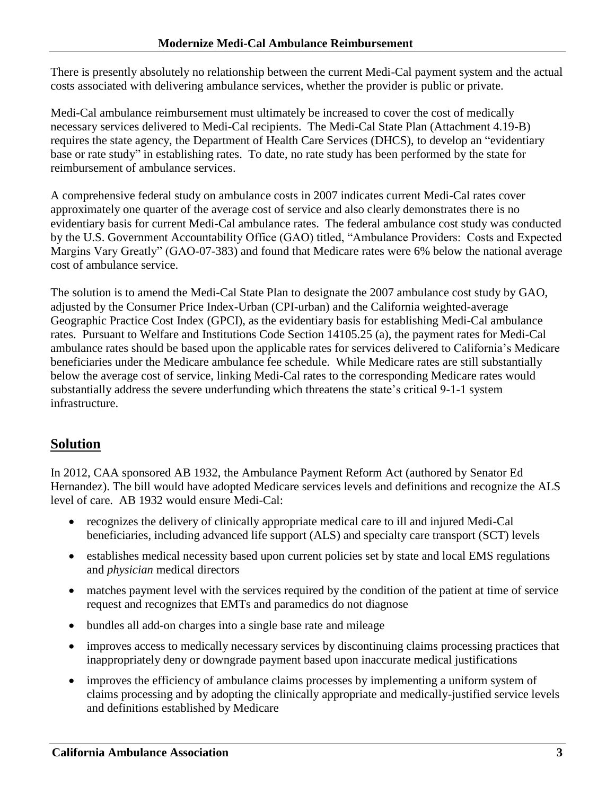There is presently absolutely no relationship between the current Medi-Cal payment system and the actual costs associated with delivering ambulance services, whether the provider is public or private.

Medi-Cal ambulance reimbursement must ultimately be increased to cover the cost of medically necessary services delivered to Medi-Cal recipients. The Medi-Cal State Plan (Attachment 4.19-B) requires the state agency, the Department of Health Care Services (DHCS), to develop an "evidentiary base or rate study" in establishing rates. To date, no rate study has been performed by the state for reimbursement of ambulance services.

A comprehensive federal study on ambulance costs in 2007 indicates current Medi-Cal rates cover approximately one quarter of the average cost of service and also clearly demonstrates there is no evidentiary basis for current Medi-Cal ambulance rates. The federal ambulance cost study was conducted by the U.S. Government Accountability Office (GAO) titled, "Ambulance Providers: Costs and Expected Margins Vary Greatly" (GAO-07-383) and found that Medicare rates were 6% below the national average cost of ambulance service.

The solution is to amend the Medi-Cal State Plan to designate the 2007 ambulance cost study by GAO, adjusted by the Consumer Price Index-Urban (CPI-urban) and the California weighted-average Geographic Practice Cost Index (GPCI), as the evidentiary basis for establishing Medi-Cal ambulance rates. Pursuant to Welfare and Institutions Code Section 14105.25 (a), the payment rates for Medi-Cal ambulance rates should be based upon the applicable rates for services delivered to California's Medicare beneficiaries under the Medicare ambulance fee schedule. While Medicare rates are still substantially below the average cost of service, linking Medi-Cal rates to the corresponding Medicare rates would substantially address the severe underfunding which threatens the state's critical 9-1-1 system infrastructure.

# **Solution**

In 2012, CAA sponsored AB 1932, the Ambulance Payment Reform Act (authored by Senator Ed Hernandez). The bill would have adopted Medicare services levels and definitions and recognize the ALS level of care. AB 1932 would ensure Medi-Cal:

- recognizes the delivery of clinically appropriate medical care to ill and injured Medi-Cal beneficiaries, including advanced life support (ALS) and specialty care transport (SCT) levels
- establishes medical necessity based upon current policies set by state and local EMS regulations and *physician* medical directors
- matches payment level with the services required by the condition of the patient at time of service request and recognizes that EMTs and paramedics do not diagnose
- bundles all add-on charges into a single base rate and mileage
- improves access to medically necessary services by discontinuing claims processing practices that inappropriately deny or downgrade payment based upon inaccurate medical justifications
- improves the efficiency of ambulance claims processes by implementing a uniform system of claims processing and by adopting the clinically appropriate and medically-justified service levels and definitions established by Medicare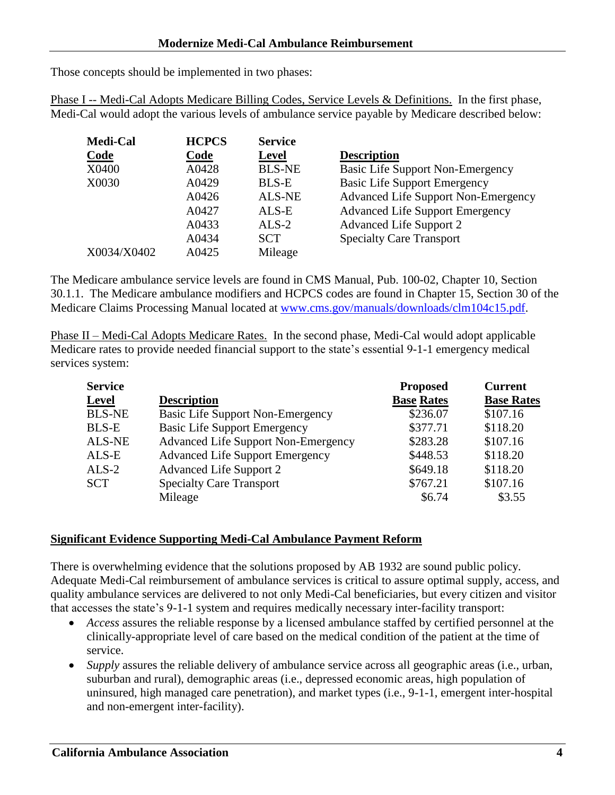Those concepts should be implemented in two phases:

Phase I -- Medi-Cal Adopts Medicare Billing Codes, Service Levels & Definitions. In the first phase, Medi-Cal would adopt the various levels of ambulance service payable by Medicare described below:

| <b>Medi-Cal</b> | <b>HCPCS</b> | <b>Service</b> |                                            |
|-----------------|--------------|----------------|--------------------------------------------|
| Code            | Code         | <b>Level</b>   | <b>Description</b>                         |
| X0400           | A0428        | <b>BLS-NE</b>  | Basic Life Support Non-Emergency           |
| X0030           | A0429        | <b>BLS-E</b>   | <b>Basic Life Support Emergency</b>        |
|                 | A0426        | <b>ALS-NE</b>  | <b>Advanced Life Support Non-Emergency</b> |
|                 | A0427        | ALS-E          | <b>Advanced Life Support Emergency</b>     |
|                 | A0433        | $ALS-2$        | Advanced Life Support 2                    |
|                 | A0434        | <b>SCT</b>     | <b>Specialty Care Transport</b>            |
| X0034/X0402     | A0425        | Mileage        |                                            |

The Medicare ambulance service levels are found in CMS Manual, Pub. 100-02, Chapter 10, Section 30.1.1. The Medicare ambulance modifiers and HCPCS codes are found in Chapter 15, Section 30 of the Medicare Claims Processing Manual located at [www.cms.gov/manuals/downloads/clm104c15.pdf.](http://www.cms.gov/manuals/downloads/clm104c15.pdf)

Phase II – Medi-Cal Adopts Medicare Rates. In the second phase, Medi-Cal would adopt applicable Medicare rates to provide needed financial support to the state's essential 9-1-1 emergency medical services system:

| <b>Service</b> |                                            | <b>Proposed</b>   | <b>Current</b>    |
|----------------|--------------------------------------------|-------------------|-------------------|
| <b>Level</b>   | <b>Description</b>                         | <b>Base Rates</b> | <b>Base Rates</b> |
| <b>BLS-NE</b>  | <b>Basic Life Support Non-Emergency</b>    | \$236.07          | \$107.16          |
| <b>BLS-E</b>   | <b>Basic Life Support Emergency</b>        | \$377.71          | \$118.20          |
| <b>ALS-NE</b>  | <b>Advanced Life Support Non-Emergency</b> | \$283.28          | \$107.16          |
| ALS-E          | <b>Advanced Life Support Emergency</b>     | \$448.53          | \$118.20          |
| $ALS-2$        | <b>Advanced Life Support 2</b>             | \$649.18          | \$118.20          |
| <b>SCT</b>     | <b>Specialty Care Transport</b>            | \$767.21          | \$107.16          |
|                | Mileage                                    | \$6.74            | \$3.55            |

#### **Significant Evidence Supporting Medi-Cal Ambulance Payment Reform**

There is overwhelming evidence that the solutions proposed by AB 1932 are sound public policy. Adequate Medi-Cal reimbursement of ambulance services is critical to assure optimal supply, access, and quality ambulance services are delivered to not only Medi-Cal beneficiaries, but every citizen and visitor that accesses the state's 9-1-1 system and requires medically necessary inter-facility transport:

- *Access* assures the reliable response by a licensed ambulance staffed by certified personnel at the clinically-appropriate level of care based on the medical condition of the patient at the time of service.
- *Supply* assures the reliable delivery of ambulance service across all geographic areas (i.e., urban, suburban and rural), demographic areas (i.e., depressed economic areas, high population of uninsured, high managed care penetration), and market types (i.e., 9-1-1, emergent inter-hospital and non-emergent inter-facility).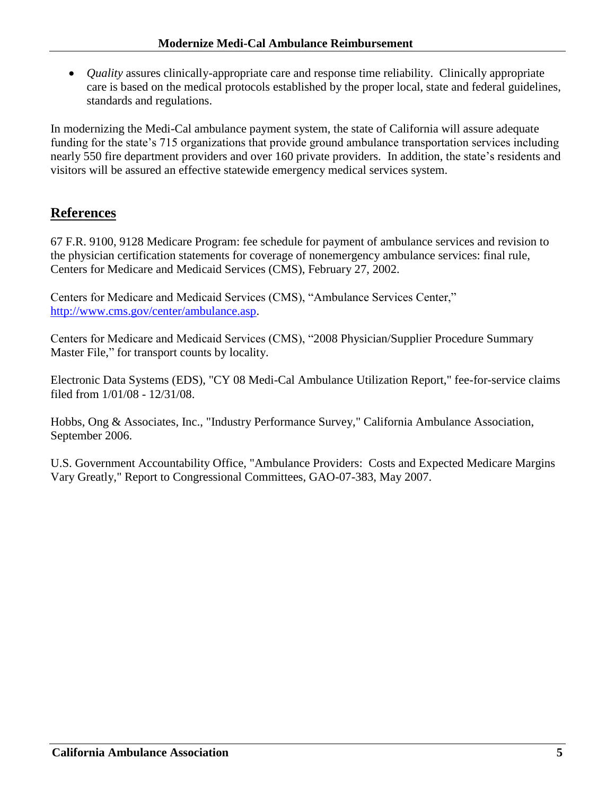*Quality* assures clinically-appropriate care and response time reliability. Clinically appropriate care is based on the medical protocols established by the proper local, state and federal guidelines, standards and regulations.

In modernizing the Medi-Cal ambulance payment system, the state of California will assure adequate funding for the state's 715 organizations that provide ground ambulance transportation services including nearly 550 fire department providers and over 160 private providers. In addition, the state's residents and visitors will be assured an effective statewide emergency medical services system.

## **References**

67 F.R. 9100, 9128 Medicare Program: fee schedule for payment of ambulance services and revision to the physician certification statements for coverage of nonemergency ambulance services: final rule, Centers for Medicare and Medicaid Services (CMS), February 27, 2002.

Centers for Medicare and Medicaid Services (CMS), "Ambulance Services Center," [http://www.cms.gov/center/ambulance.asp.](http://www.cms.gov/center/ambulance.asp)

Centers for Medicare and Medicaid Services (CMS), "2008 Physician/Supplier Procedure Summary Master File," for transport counts by locality.

Electronic Data Systems (EDS), "CY 08 Medi-Cal Ambulance Utilization Report," fee-for-service claims filed from 1/01/08 - 12/31/08.

Hobbs, Ong & Associates, Inc., "Industry Performance Survey," California Ambulance Association, September 2006.

U.S. Government Accountability Office, "Ambulance Providers: Costs and Expected Medicare Margins Vary Greatly," Report to Congressional Committees, GAO-07-383, May 2007.